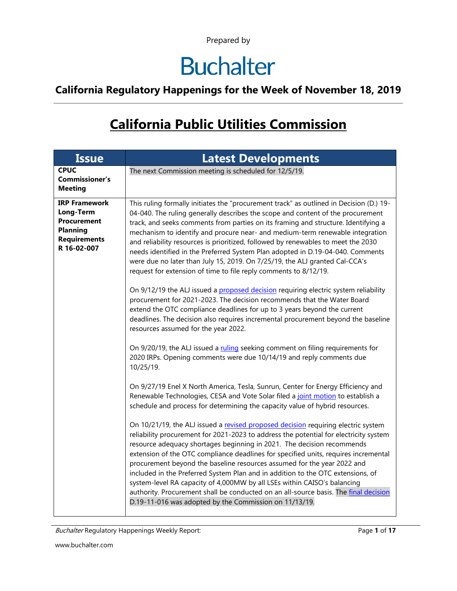## **Buchalter**

#### **California Regulatory Happenings for the Week of November 18, 2019**

### **California Public Utilities Commission**

| <b>Issue</b>                                                                                                     | <b>Latest Developments</b>                                                                                                                                                                                                                                                                                                                                                                                                                                                                                                                                                                                                                                                                                                              |
|------------------------------------------------------------------------------------------------------------------|-----------------------------------------------------------------------------------------------------------------------------------------------------------------------------------------------------------------------------------------------------------------------------------------------------------------------------------------------------------------------------------------------------------------------------------------------------------------------------------------------------------------------------------------------------------------------------------------------------------------------------------------------------------------------------------------------------------------------------------------|
| <b>CPUC</b><br><b>Commissioner's</b><br><b>Meeting</b>                                                           | The next Commission meeting is scheduled for 12/5/19.                                                                                                                                                                                                                                                                                                                                                                                                                                                                                                                                                                                                                                                                                   |
| <b>IRP Framework</b><br>Long-Term<br><b>Procurement</b><br><b>Planning</b><br><b>Requirements</b><br>R 16-02-007 | This ruling formally initiates the "procurement track" as outlined in Decision (D.) 19-<br>04-040. The ruling generally describes the scope and content of the procurement<br>track, and seeks comments from parties on its framing and structure. Identifying a<br>mechanism to identify and procure near- and medium-term renewable integration<br>and reliability resources is prioritized, followed by renewables to meet the 2030<br>needs identified in the Preferred System Plan adopted in D.19-04-040. Comments<br>were due no later than July 15, 2019. On 7/25/19, the ALJ granted Cal-CCA's<br>request for extension of time to file reply comments to 8/12/19.                                                             |
|                                                                                                                  | On 9/12/19 the ALJ issued a proposed decision requiring electric system reliability<br>procurement for 2021-2023. The decision recommends that the Water Board<br>extend the OTC compliance deadlines for up to 3 years beyond the current<br>deadlines. The decision also requires incremental procurement beyond the baseline<br>resources assumed for the year 2022.                                                                                                                                                                                                                                                                                                                                                                 |
|                                                                                                                  | On 9/20/19, the ALJ issued a ruling seeking comment on filing requirements for<br>2020 IRPs. Opening comments were due 10/14/19 and reply comments due<br>10/25/19.                                                                                                                                                                                                                                                                                                                                                                                                                                                                                                                                                                     |
|                                                                                                                  | On 9/27/19 Enel X North America, Tesla, Sunrun, Center for Energy Efficiency and<br>Renewable Technologies, CESA and Vote Solar filed a joint motion to establish a<br>schedule and process for determining the capacity value of hybrid resources.                                                                                                                                                                                                                                                                                                                                                                                                                                                                                     |
|                                                                                                                  | On 10/21/19, the ALJ issued a revised proposed decision requiring electric system<br>reliability procurement for 2021-2023 to address the potential for electricity system<br>resource adequacy shortages beginning in 2021. The decision recommends<br>extension of the OTC compliance deadlines for specified units, requires incremental<br>procurement beyond the baseline resources assumed for the year 2022 and<br>included in the Preferred System Plan and in addition to the OTC extensions, of<br>system-level RA capacity of 4,000MW by all LSEs within CAISO's balancing<br>authority. Procurement shall be conducted on an all-source basis. The final decision<br>D.19-11-016 was adopted by the Commission on 11/13/19. |

Buchalter Regulatory Happenings Weekly Report: Page 1 of 17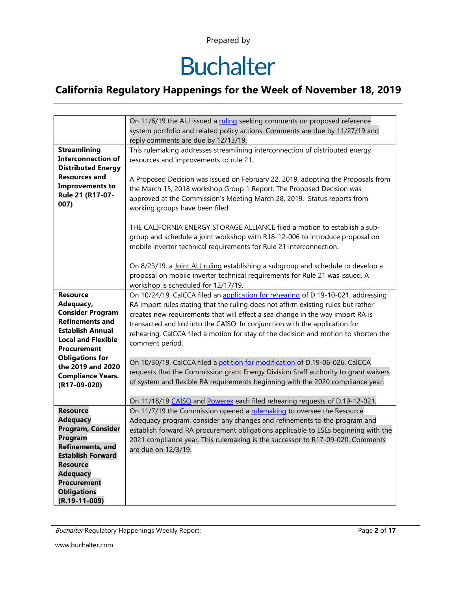## **Buchalter**

|                           | On 11/6/19 the ALJ issued a ruling seeking comments on proposed reference           |
|---------------------------|-------------------------------------------------------------------------------------|
|                           | system portfolio and related policy actions. Comments are due by 11/27/19 and       |
|                           | reply comments are due by 12/13/19.                                                 |
| <b>Streamlining</b>       | This rulemaking addresses streamlining interconnection of distributed energy        |
| <b>Interconnection of</b> | resources and improvements to rule 21.                                              |
| <b>Distributed Energy</b> |                                                                                     |
| <b>Resources and</b>      | A Proposed Decision was issued on February 22, 2019, adopting the Proposals from    |
| <b>Improvements to</b>    | the March 15, 2018 workshop Group 1 Report. The Proposed Decision was               |
| <b>Rule 21 (R17-07-</b>   |                                                                                     |
| 007)                      | approved at the Commission's Meeting March 28, 2019. Status reports from            |
|                           | working groups have been filed.                                                     |
|                           |                                                                                     |
|                           | THE CALIFORNIA ENERGY STORAGE ALLIANCE filed a motion to establish a sub-           |
|                           | group and schedule a joint workshop with R18-12-006 to introduce proposal on        |
|                           | mobile inverter technical requirements for Rule 21 interconnection.                 |
|                           |                                                                                     |
|                           | On 8/23/19, a Joint ALJ ruling establishing a subgroup and schedule to develop a    |
|                           | proposal on mobile inverter technical requirements for Rule 21 was issued. A        |
|                           | workshop is scheduled for 12/17/19.                                                 |
| <b>Resource</b>           | On 10/24/19, CalCCA filed an application for rehearing of D.19-10-021, addressing   |
| Adequacy,                 | RA import rules stating that the ruling does not affirm existing rules but rather   |
| <b>Consider Program</b>   | creates new requirements that will effect a sea change in the way import RA is      |
| <b>Refinements and</b>    |                                                                                     |
| <b>Establish Annual</b>   | transacted and bid into the CAISO. In conjunction with the application for          |
| <b>Local and Flexible</b> | rehearing, CalCCA filed a motion for stay of the decision and motion to shorten the |
| <b>Procurement</b>        | comment period.                                                                     |
| <b>Obligations for</b>    |                                                                                     |
| the 2019 and 2020         | On 10/30/19, CalCCA filed a petition for modification of D.19-06-026. CalCCA        |
| <b>Compliance Years.</b>  | requests that the Commission grant Energy Division Staff authority to grant waivers |
| (R17-09-020)              | of system and flexible RA requirements beginning with the 2020 compliance year.     |
|                           |                                                                                     |
|                           | On 11/18/19 CAISO and Powerex each filed rehearing requests of D.19-12-021.         |
| <b>Resource</b>           | On 11/7/19 the Commission opened a rulemaking to oversee the Resource               |
| <b>Adequacy</b>           | Adequacy program, consider any changes and refinements to the program and           |
| Program, Consider         | establish forward RA procurement obligations applicable to LSEs beginning with the  |
| Program                   | 2021 compliance year. This rulemaking is the successor to R17-09-020. Comments      |
| <b>Refinements, and</b>   | are due on 12/3/19.                                                                 |
| <b>Establish Forward</b>  |                                                                                     |
| <b>Resource</b>           |                                                                                     |
| Adequacy                  |                                                                                     |
| <b>Procurement</b>        |                                                                                     |
| <b>Obligations</b>        |                                                                                     |
| $(R.19-11-009)$           |                                                                                     |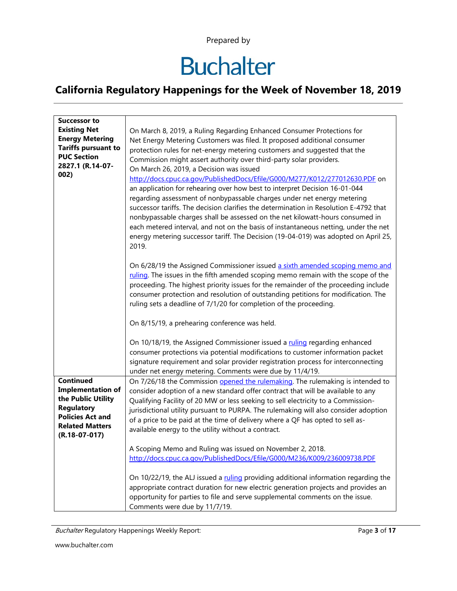## **Buchalter**

| <b>Successor to</b>                              |                                                                                                                |
|--------------------------------------------------|----------------------------------------------------------------------------------------------------------------|
| <b>Existing Net</b>                              | On March 8, 2019, a Ruling Regarding Enhanced Consumer Protections for                                         |
| <b>Energy Metering</b>                           | Net Energy Metering Customers was filed. It proposed additional consumer                                       |
| <b>Tariffs pursuant to</b><br><b>PUC Section</b> | protection rules for net-energy metering customers and suggested that the                                      |
| 2827.1 (R.14-07-                                 | Commission might assert authority over third-party solar providers.                                            |
| 002)                                             | On March 26, 2019, a Decision was issued                                                                       |
|                                                  | http://docs.cpuc.ca.gov/PublishedDocs/Efile/G000/M277/K012/277012630.PDF on                                    |
|                                                  | an application for rehearing over how best to interpret Decision 16-01-044                                     |
|                                                  | regarding assessment of nonbypassable charges under net energy metering                                        |
|                                                  | successor tariffs. The decision clarifies the determination in Resolution E-4792 that                          |
|                                                  | nonbypassable charges shall be assessed on the net kilowatt-hours consumed in                                  |
|                                                  | each metered interval, and not on the basis of instantaneous netting, under the net                            |
|                                                  | energy metering successor tariff. The Decision (19-04-019) was adopted on April 25,                            |
|                                                  | 2019.                                                                                                          |
|                                                  | On 6/28/19 the Assigned Commissioner issued a sixth amended scoping memo and                                   |
|                                                  | ruling. The issues in the fifth amended scoping memo remain with the scope of the                              |
|                                                  | proceeding. The highest priority issues for the remainder of the proceeding include                            |
|                                                  | consumer protection and resolution of outstanding petitions for modification. The                              |
|                                                  | ruling sets a deadline of 7/1/20 for completion of the proceeding.                                             |
|                                                  |                                                                                                                |
|                                                  | On 8/15/19, a prehearing conference was held.                                                                  |
|                                                  | On 10/18/19, the Assigned Commissioner issued a ruling regarding enhanced                                      |
|                                                  | consumer protections via potential modifications to customer information packet                                |
|                                                  | signature requirement and solar provider registration process for interconnecting                              |
|                                                  | under net energy metering. Comments were due by 11/4/19.                                                       |
| <b>Continued</b>                                 | On 7/26/18 the Commission opened the rulemaking. The rulemaking is intended to                                 |
| <b>Implementation of</b>                         | consider adoption of a new standard offer contract that will be available to any                               |
| the Public Utility                               | Qualifying Facility of 20 MW or less seeking to sell electricity to a Commission-                              |
| <b>Regulatory</b>                                | jurisdictional utility pursuant to PURPA. The rulemaking will also consider adoption                           |
| <b>Policies Act and</b>                          | of a price to be paid at the time of delivery where a QF has opted to sell as-                                 |
| <b>Related Matters</b>                           | available energy to the utility without a contract.                                                            |
| $(R.18-07-017)$                                  |                                                                                                                |
|                                                  |                                                                                                                |
|                                                  | A Scoping Memo and Ruling was issued on November 2, 2018.                                                      |
|                                                  | http://docs.cpuc.ca.gov/PublishedDocs/Efile/G000/M236/K009/236009738.PDF                                       |
|                                                  |                                                                                                                |
|                                                  | On 10/22/19, the ALJ issued a ruling providing additional information regarding the                            |
|                                                  | appropriate contract duration for new electric generation projects and provides an                             |
|                                                  | opportunity for parties to file and serve supplemental comments on the issue.<br>Comments were due by 11/7/19. |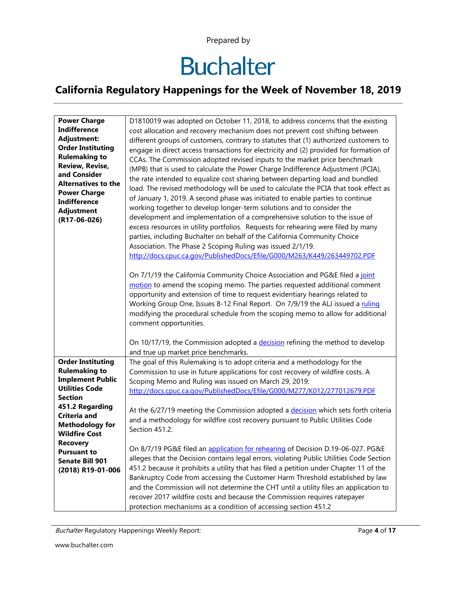## **Buchalter**

| <b>Power Charge</b>        | D1810019 was adopted on October 11, 2018, to address concerns that the existing          |
|----------------------------|------------------------------------------------------------------------------------------|
| <b>Indifference</b>        | cost allocation and recovery mechanism does not prevent cost shifting between            |
| <b>Adjustment:</b>         | different groups of customers, contrary to statutes that (1) authorized customers to     |
| <b>Order Instituting</b>   | engage in direct access transactions for electricity and (2) provided for formation of   |
| <b>Rulemaking to</b>       | CCAs. The Commission adopted revised inputs to the market price benchmark                |
| <b>Review, Revise,</b>     |                                                                                          |
| and Consider               | (MPB) that is used to calculate the Power Charge Indifference Adjustment (PCIA),         |
| <b>Alternatives to the</b> | the rate intended to equalize cost sharing between departing load and bundled            |
| <b>Power Charge</b>        | load. The revised methodology will be used to calculate the PCIA that took effect as     |
| <b>Indifference</b>        | of January 1, 2019. A second phase was initiated to enable parties to continue           |
| <b>Adjustment</b>          | working together to develop longer-term solutions and to consider the                    |
|                            | development and implementation of a comprehensive solution to the issue of               |
| $(R17-06-026)$             | excess resources in utility portfolios. Requests for rehearing were filed by many        |
|                            | parties, including Buchalter on behalf of the California Community Choice                |
|                            |                                                                                          |
|                            | Association. The Phase 2 Scoping Ruling was issued 2/1/19.                               |
|                            | http://docs.cpuc.ca.gov/PublishedDocs/Efile/G000/M263/K449/263449702.PDF                 |
|                            |                                                                                          |
|                            | On 7/1/19 the California Community Choice Association and PG&E filed a joint             |
|                            | motion to amend the scoping memo. The parties requested additional comment               |
|                            | opportunity and extension of time to request evidentiary hearings related to             |
|                            | Working Group One, Issues 8-12 Final Report. On 7/9/19 the ALJ issued a ruling           |
|                            | modifying the procedural schedule from the scoping memo to allow for additional          |
|                            | comment opportunities.                                                                   |
|                            |                                                                                          |
|                            |                                                                                          |
|                            | On 10/17/19, the Commission adopted a decision refining the method to develop            |
|                            | and true up market price benchmarks.                                                     |
| <b>Order Instituting</b>   | The goal of this Rulemaking is to adopt criteria and a methodology for the               |
| <b>Rulemaking to</b>       | Commission to use in future applications for cost recovery of wildfire costs. A          |
| <b>Implement Public</b>    | Scoping Memo and Ruling was issued on March 29, 2019:                                    |
| <b>Utilities Code</b>      | http://docs.cpuc.ca.gov/PublishedDocs/Efile/G000/M277/K012/277012679.PDF                 |
| <b>Section</b>             |                                                                                          |
| 451.2 Regarding            | At the 6/27/19 meeting the Commission adopted a decision which sets forth criteria       |
| <b>Criteria and</b>        | and a methodology for wildfire cost recovery pursuant to Public Utilities Code           |
| <b>Methodology for</b>     |                                                                                          |
| <b>Wildfire Cost</b>       | Section 451.2.                                                                           |
| <b>Recovery</b>            |                                                                                          |
| Pursuant to                | On 8/7/19 PG&E filed an application for rehearing of Decision D.19-06-027. PG&E          |
| <b>Senate Bill 901</b>     | alleges that the Decision contains legal errors, violating Public Utilities Code Section |
| (2018) R19-01-006          | 451.2 because it prohibits a utility that has filed a petition under Chapter 11 of the   |
|                            | Bankruptcy Code from accessing the Customer Harm Threshold established by law            |
|                            | and the Commission will not determine the CHT until a utility files an application to    |
|                            | recover 2017 wildfire costs and because the Commission requires ratepayer                |
|                            |                                                                                          |
|                            | protection mechanisms as a condition of accessing section 451.2                          |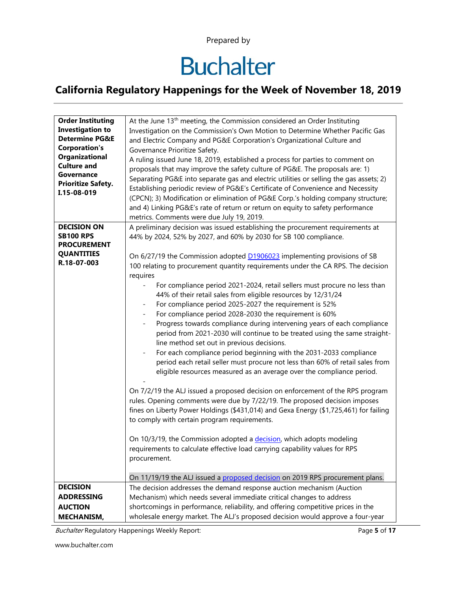## **Buchalter**

#### **California Regulatory Happenings for the Week of November 18, 2019**

| <b>Order Instituting</b>  | At the June 13 <sup>th</sup> meeting, the Commission considered an Order Instituting                |
|---------------------------|-----------------------------------------------------------------------------------------------------|
| <b>Investigation to</b>   | Investigation on the Commission's Own Motion to Determine Whether Pacific Gas                       |
| <b>Determine PG&amp;E</b> | and Electric Company and PG&E Corporation's Organizational Culture and                              |
| <b>Corporation's</b>      | Governance Prioritize Safety.                                                                       |
| <b>Organizational</b>     | A ruling issued June 18, 2019, established a process for parties to comment on                      |
| <b>Culture and</b>        | proposals that may improve the safety culture of PG&E. The proposals are: 1)                        |
| Governance                | Separating PG&E into separate gas and electric utilities or selling the gas assets; 2)              |
| <b>Prioritize Safety.</b> | Establishing periodic review of PG&E's Certificate of Convenience and Necessity                     |
| I.15-08-019               |                                                                                                     |
|                           | (CPCN); 3) Modification or elimination of PG&E Corp.'s holding company structure;                   |
|                           | and 4) Linking PG&E's rate of return or return on equity to safety performance                      |
|                           | metrics. Comments were due July 19, 2019.                                                           |
| <b>DECISION ON</b>        | A preliminary decision was issued establishing the procurement requirements at                      |
| <b>SB100 RPS</b>          | 44% by 2024, 52% by 2027, and 60% by 2030 for SB 100 compliance.                                    |
| <b>PROCUREMENT</b>        |                                                                                                     |
| <b>QUANTITIES</b>         | On 6/27/19 the Commission adopted D1906023 implementing provisions of SB                            |
| R.18-07-003               | 100 relating to procurement quantity requirements under the CA RPS. The decision                    |
|                           | requires                                                                                            |
|                           | For compliance period 2021-2024, retail sellers must procure no less than                           |
|                           | 44% of their retail sales from eligible resources by 12/31/24                                       |
|                           | For compliance period 2025-2027 the requirement is 52%<br>$\overline{\phantom{a}}$                  |
|                           | For compliance period 2028-2030 the requirement is 60%<br>$\blacksquare$                            |
|                           | Progress towards compliance during intervening years of each compliance<br>$\overline{\phantom{a}}$ |
|                           | period from 2021-2030 will continue to be treated using the same straight-                          |
|                           | line method set out in previous decisions.                                                          |
|                           | For each compliance period beginning with the 2031-2033 compliance                                  |
|                           | period each retail seller must procure not less than 60% of retail sales from                       |
|                           | eligible resources measured as an average over the compliance period.                               |
|                           |                                                                                                     |
|                           | On 7/2/19 the ALJ issued a proposed decision on enforcement of the RPS program                      |
|                           | rules. Opening comments were due by 7/22/19. The proposed decision imposes                          |
|                           |                                                                                                     |
|                           | fines on Liberty Power Holdings (\$431,014) and Gexa Energy (\$1,725,461) for failing               |
|                           | to comply with certain program requirements.                                                        |
|                           |                                                                                                     |
|                           | On 10/3/19, the Commission adopted a decision, which adopts modeling                                |
|                           | requirements to calculate effective load carrying capability values for RPS                         |
|                           | procurement.                                                                                        |
|                           |                                                                                                     |
|                           | On 11/19/19 the ALJ issued a proposed decision on 2019 RPS procurement plans.                       |
| <b>DECISION</b>           | The decision addresses the demand response auction mechanism (Auction                               |
| <b>ADDRESSING</b>         | Mechanism) which needs several immediate critical changes to address                                |
| <b>AUCTION</b>            | shortcomings in performance, reliability, and offering competitive prices in the                    |
| <b>MECHANISM,</b>         | wholesale energy market. The ALJ's proposed decision would approve a four-year                      |

Buchalter Regulatory Happenings Weekly Report: Page **5** of **17**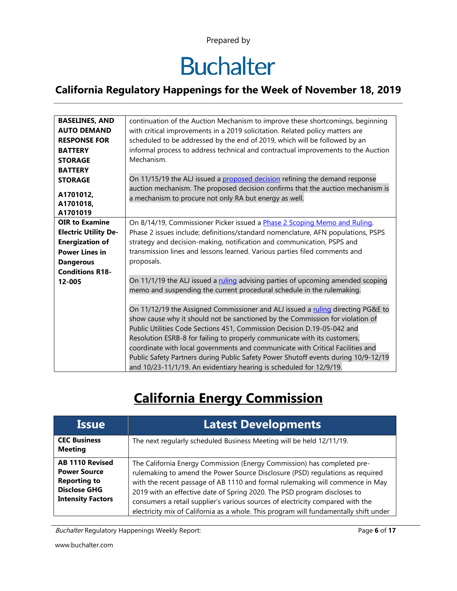## **Buchalter**

#### **California Regulatory Happenings for the Week of November 18, 2019**

| <b>BASELINES, AND</b>              | continuation of the Auction Mechanism to improve these shortcomings, beginning                                                                                                                                                                                                                                           |
|------------------------------------|--------------------------------------------------------------------------------------------------------------------------------------------------------------------------------------------------------------------------------------------------------------------------------------------------------------------------|
| <b>AUTO DEMAND</b>                 | with critical improvements in a 2019 solicitation. Related policy matters are                                                                                                                                                                                                                                            |
| <b>RESPONSE FOR</b>                | scheduled to be addressed by the end of 2019, which will be followed by an                                                                                                                                                                                                                                               |
| <b>BATTERY</b>                     | informal process to address technical and contractual improvements to the Auction                                                                                                                                                                                                                                        |
| <b>STORAGE</b>                     | Mechanism.                                                                                                                                                                                                                                                                                                               |
| <b>BATTERY</b>                     |                                                                                                                                                                                                                                                                                                                          |
| <b>STORAGE</b>                     | On 11/15/19 the ALJ issued a proposed decision refining the demand response                                                                                                                                                                                                                                              |
| A1701012,<br>A1701018,<br>A1701019 | auction mechanism. The proposed decision confirms that the auction mechanism is<br>a mechanism to procure not only RA but energy as well.                                                                                                                                                                                |
| <b>OIR to Examine</b>              | On 8/14/19, Commissioner Picker issued a Phase 2 Scoping Memo and Ruling.                                                                                                                                                                                                                                                |
| <b>Electric Utility De-</b>        | Phase 2 issues include; definitions/standard nomenclature, AFN populations, PSPS                                                                                                                                                                                                                                         |
| <b>Energization of</b>             | strategy and decision-making, notification and communication, PSPS and                                                                                                                                                                                                                                                   |
| <b>Power Lines in</b>              | transmission lines and lessons learned. Various parties filed comments and                                                                                                                                                                                                                                               |
| <b>Dangerous</b>                   | proposals.                                                                                                                                                                                                                                                                                                               |
| <b>Conditions R18-</b>             |                                                                                                                                                                                                                                                                                                                          |
| 12-005                             | On 11/1/19 the ALJ issued a ruling advising parties of upcoming amended scoping<br>memo and suspending the current procedural schedule in the rulemaking.                                                                                                                                                                |
|                                    | On 11/12/19 the Assigned Commissioner and ALJ issued a ruling directing PG&E to<br>show cause why it should not be sanctioned by the Commission for violation of<br>Public Utilities Code Sections 451, Commission Decision D.19-05-042 and<br>Resolution ESRB-8 for failing to properly communicate with its customers, |
|                                    | coordinate with local governments and communicate with Critical Facilities and<br>Public Safety Partners during Public Safety Power Shutoff events during 10/9-12/19<br>and 10/23-11/1/19. An evidentiary hearing is scheduled for 12/9/19.                                                                              |

### **California Energy Commission**

| <b>Issue</b>                                                                                                            | <b>Latest Developments</b>                                                                                                                                                                                                                                                                                                                                                                              |
|-------------------------------------------------------------------------------------------------------------------------|---------------------------------------------------------------------------------------------------------------------------------------------------------------------------------------------------------------------------------------------------------------------------------------------------------------------------------------------------------------------------------------------------------|
| <b>CEC Business</b><br><b>Meeting</b>                                                                                   | The next regularly scheduled Business Meeting will be held 12/11/19.                                                                                                                                                                                                                                                                                                                                    |
| <b>AB 1110 Revised</b><br><b>Power Source</b><br><b>Reporting to</b><br><b>Disclose GHG</b><br><b>Intensity Factors</b> | The California Energy Commission (Energy Commission) has completed pre-<br>rulemaking to amend the Power Source Disclosure (PSD) regulations as required<br>with the recent passage of AB 1110 and formal rulemaking will commence in May<br>2019 with an effective date of Spring 2020. The PSD program discloses to<br>consumers a retail supplier's various sources of electricity compared with the |
|                                                                                                                         | electricity mix of California as a whole. This program will fundamentally shift under                                                                                                                                                                                                                                                                                                                   |

Buchalter Regulatory Happenings Weekly Report: Page 6 of 17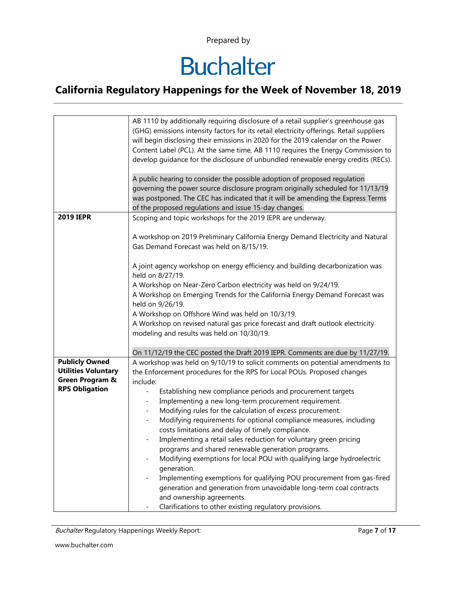## **Buchalter**

|                                                                                                 | AB 1110 by additionally requiring disclosure of a retail supplier's greenhouse gas<br>(GHG) emissions intensity factors for its retail electricity offerings. Retail suppliers<br>will begin disclosing their emissions in 2020 for the 2019 calendar on the Power<br>Content Label (PCL). At the same time, AB 1110 requires the Energy Commission to<br>develop guidance for the disclosure of unbundled renewable energy credits (RECs).<br>A public hearing to consider the possible adoption of proposed regulation<br>governing the power source disclosure program originally scheduled for 11/13/19<br>was postponed. The CEC has indicated that it will be amending the Express Terms<br>of the proposed regulations and issue 15-day changes.                                                                                                                                                                                                                                                   |
|-------------------------------------------------------------------------------------------------|-----------------------------------------------------------------------------------------------------------------------------------------------------------------------------------------------------------------------------------------------------------------------------------------------------------------------------------------------------------------------------------------------------------------------------------------------------------------------------------------------------------------------------------------------------------------------------------------------------------------------------------------------------------------------------------------------------------------------------------------------------------------------------------------------------------------------------------------------------------------------------------------------------------------------------------------------------------------------------------------------------------|
| <b>2019 IEPR</b>                                                                                | Scoping and topic workshops for the 2019 IEPR are underway.<br>A workshop on 2019 Preliminary California Energy Demand Electricity and Natural<br>Gas Demand Forecast was held on 8/15/19.<br>A joint agency workshop on energy efficiency and building decarbonization was<br>held on 8/27/19.<br>A Workshop on Near-Zero Carbon electricity was held on 9/24/19.<br>A Workshop on Emerging Trends for the California Energy Demand Forecast was<br>held on 9/26/19.<br>A Workshop on Offshore Wind was held on 10/3/19.<br>A Workshop on revised natural gas price forecast and draft outlook electricity<br>modeling and results was held on 10/30/19.                                                                                                                                                                                                                                                                                                                                                 |
|                                                                                                 | On 11/12/19 the CEC posted the Draft 2019 IEPR. Comments are due by 11/27/19.                                                                                                                                                                                                                                                                                                                                                                                                                                                                                                                                                                                                                                                                                                                                                                                                                                                                                                                             |
| <b>Publicly Owned</b><br><b>Utilities Voluntary</b><br>Green Program &<br><b>RPS Obligation</b> | A workshop was held on 9/10/19 to solicit comments on potential amendments to<br>the Enforcement procedures for the RPS for Local POUs. Proposed changes<br>include:<br>Establishing new compliance periods and procurement targets<br>Implementing a new long-term procurement requirement.<br>Modifying rules for the calculation of excess procurement.<br>$\overline{\phantom{0}}$<br>Modifying requirements for optional compliance measures, including<br>$\overline{\phantom{0}}$<br>costs limitations and delay of timely compliance.<br>Implementing a retail sales reduction for voluntary green pricing<br>programs and shared renewable generation programs.<br>Modifying exemptions for local POU with qualifying large hydroelectric<br>generation.<br>Implementing exemptions for qualifying POU procurement from gas-fired<br>generation and generation from unavoidable long-term coal contracts<br>and ownership agreements.<br>Clarifications to other existing regulatory provisions. |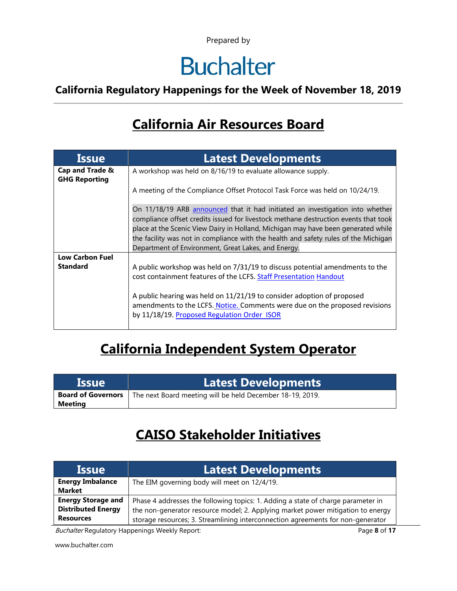### **Buchalter**

**California Regulatory Happenings for the Week of November 18, 2019**

### **California Air Resources Board**

| <b>Issue</b>                              | <b>Latest Developments</b>                                                                                                                                                                                                                                                                                                                                                                              |
|-------------------------------------------|---------------------------------------------------------------------------------------------------------------------------------------------------------------------------------------------------------------------------------------------------------------------------------------------------------------------------------------------------------------------------------------------------------|
| Cap and Trade &<br><b>GHG Reporting</b>   | A workshop was held on 8/16/19 to evaluate allowance supply.                                                                                                                                                                                                                                                                                                                                            |
|                                           | A meeting of the Compliance Offset Protocol Task Force was held on 10/24/19.                                                                                                                                                                                                                                                                                                                            |
|                                           | On 11/18/19 ARB announced that it had initiated an investigation into whether<br>compliance offset credits issued for livestock methane destruction events that took<br>place at the Scenic View Dairy in Holland, Michigan may have been generated while<br>the facility was not in compliance with the health and safety rules of the Michigan<br>Department of Environment, Great Lakes, and Energy. |
| <b>Low Carbon Fuel</b><br><b>Standard</b> | A public workshop was held on 7/31/19 to discuss potential amendments to the<br>cost containment features of the LCFS. Staff Presentation Handout<br>A public hearing was held on 11/21/19 to consider adoption of proposed<br>amendments to the LCFS. Notice. Comments were due on the proposed revisions<br>by 11/18/19. Proposed Regulation Order ISOR                                               |

### **California Independent System Operator**

| <b>Issue</b> | <b>Latest Developments</b>                                                            |
|--------------|---------------------------------------------------------------------------------------|
| Meeting      | <b>Board of Governors</b>   The next Board meeting will be held December 18-19, 2019. |

### **CAISO Stakeholder Initiatives**

| <b>Issue</b>              | <b>Latest Developments</b>                                                       |
|---------------------------|----------------------------------------------------------------------------------|
| <b>Energy Imbalance</b>   | The EIM governing body will meet on 12/4/19.                                     |
| <b>Market</b>             |                                                                                  |
| <b>Energy Storage and</b> | Phase 4 addresses the following topics: 1. Adding a state of charge parameter in |
| <b>Distributed Energy</b> | the non-generator resource model; 2. Applying market power mitigation to energy  |
| <b>Resources</b>          | storage resources; 3. Streamlining interconnection agreements for non-generator  |

Buchalter Regulatory Happenings Weekly Report: Page 8 of 17

www.buchalter.com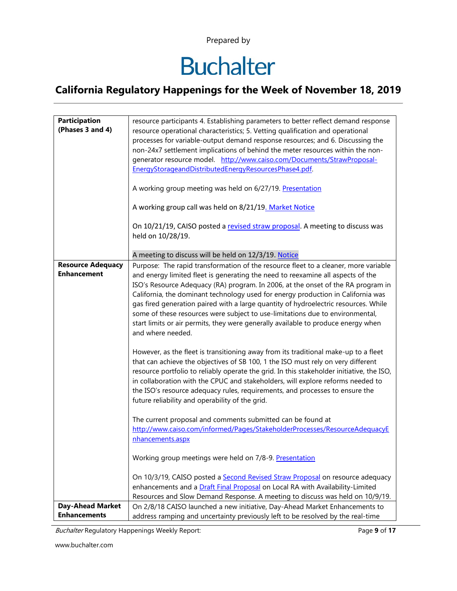## **Buchalter**

#### **California Regulatory Happenings for the Week of November 18, 2019**

| <b>Participation</b><br>(Phases 3 and 4)       | resource participants 4. Establishing parameters to better reflect demand response<br>resource operational characteristics; 5. Vetting qualification and operational<br>processes for variable-output demand response resources; and 6. Discussing the<br>non-24x7 settlement implications of behind the meter resources within the non-<br>generator resource model. http://www.caiso.com/Documents/StrawProposal-<br>EnergyStorageandDistributedEnergyResourcesPhase4.pdf.<br>A working group meeting was held on 6/27/19. Presentation<br>A working group call was held on 8/21/19. Market Notice<br>On 10/21/19, CAISO posted a revised straw proposal. A meeting to discuss was<br>held on 10/28/19. |
|------------------------------------------------|-----------------------------------------------------------------------------------------------------------------------------------------------------------------------------------------------------------------------------------------------------------------------------------------------------------------------------------------------------------------------------------------------------------------------------------------------------------------------------------------------------------------------------------------------------------------------------------------------------------------------------------------------------------------------------------------------------------|
|                                                | A meeting to discuss will be held on 12/3/19. Notice                                                                                                                                                                                                                                                                                                                                                                                                                                                                                                                                                                                                                                                      |
| <b>Resource Adequacy</b><br><b>Enhancement</b> | Purpose: The rapid transformation of the resource fleet to a cleaner, more variable<br>and energy limited fleet is generating the need to reexamine all aspects of the<br>ISO's Resource Adequacy (RA) program. In 2006, at the onset of the RA program in<br>California, the dominant technology used for energy production in California was<br>gas fired generation paired with a large quantity of hydroelectric resources. While<br>some of these resources were subject to use-limitations due to environmental,<br>start limits or air permits, they were generally available to produce energy when<br>and where needed.                                                                          |
|                                                | However, as the fleet is transitioning away from its traditional make-up to a fleet<br>that can achieve the objectives of SB 100, 1 the ISO must rely on very different<br>resource portfolio to reliably operate the grid. In this stakeholder initiative, the ISO,<br>in collaboration with the CPUC and stakeholders, will explore reforms needed to<br>the ISO's resource adequacy rules, requirements, and processes to ensure the<br>future reliability and operability of the grid.                                                                                                                                                                                                                |
|                                                | The current proposal and comments submitted can be found at<br>http://www.caiso.com/informed/Pages/StakeholderProcesses/ResourceAdequacyE<br>nhancements.aspx                                                                                                                                                                                                                                                                                                                                                                                                                                                                                                                                             |
|                                                | Working group meetings were held on 7/8-9. Presentation                                                                                                                                                                                                                                                                                                                                                                                                                                                                                                                                                                                                                                                   |
|                                                | On 10/3/19, CAISO posted a Second Revised Straw Proposal on resource adequacy<br>enhancements and a Draft Final Proposal on Local RA with Availability-Limited<br>Resources and Slow Demand Response. A meeting to discuss was held on 10/9/19.                                                                                                                                                                                                                                                                                                                                                                                                                                                           |
| <b>Day-Ahead Market</b>                        | On 2/8/18 CAISO launched a new initiative, Day-Ahead Market Enhancements to                                                                                                                                                                                                                                                                                                                                                                                                                                                                                                                                                                                                                               |
| <b>Enhancements</b>                            | address ramping and uncertainty previously left to be resolved by the real-time                                                                                                                                                                                                                                                                                                                                                                                                                                                                                                                                                                                                                           |

Buchalter Regulatory Happenings Weekly Report: Page **9** of **17**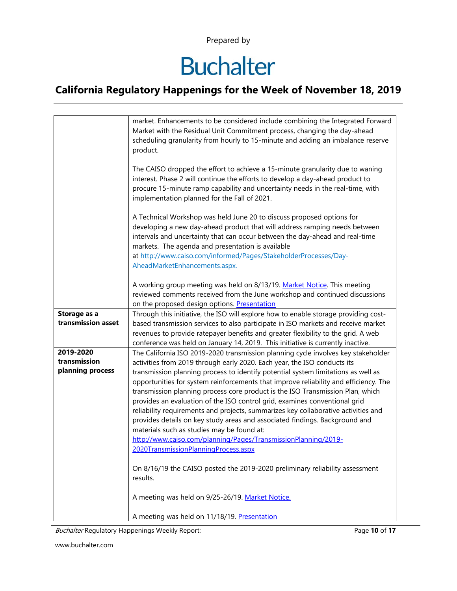## **Buchalter**

#### **California Regulatory Happenings for the Week of November 18, 2019**

|                    | market. Enhancements to be considered include combining the Integrated Forward<br>Market with the Residual Unit Commitment process, changing the day-ahead<br>scheduling granularity from hourly to 15-minute and adding an imbalance reserve<br>product.                                                                                                                                                                                                                                                                                                                                                                                                              |  |  |  |  |  |
|--------------------|------------------------------------------------------------------------------------------------------------------------------------------------------------------------------------------------------------------------------------------------------------------------------------------------------------------------------------------------------------------------------------------------------------------------------------------------------------------------------------------------------------------------------------------------------------------------------------------------------------------------------------------------------------------------|--|--|--|--|--|
|                    | The CAISO dropped the effort to achieve a 15-minute granularity due to waning<br>interest. Phase 2 will continue the efforts to develop a day-ahead product to<br>procure 15-minute ramp capability and uncertainty needs in the real-time, with<br>implementation planned for the Fall of 2021.                                                                                                                                                                                                                                                                                                                                                                       |  |  |  |  |  |
|                    | A Technical Workshop was held June 20 to discuss proposed options for<br>developing a new day-ahead product that will address ramping needs between<br>intervals and uncertainty that can occur between the day-ahead and real-time<br>markets. The agenda and presentation is available<br>at http://www.caiso.com/informed/Pages/StakeholderProcesses/Day-<br>AheadMarketEnhancements.aspx.                                                                                                                                                                                                                                                                          |  |  |  |  |  |
|                    | A working group meeting was held on 8/13/19. Market Notice. This meeting<br>reviewed comments received from the June workshop and continued discussions<br>on the proposed design options. Presentation                                                                                                                                                                                                                                                                                                                                                                                                                                                                |  |  |  |  |  |
| Storage as a       | Through this initiative, the ISO will explore how to enable storage providing cost-                                                                                                                                                                                                                                                                                                                                                                                                                                                                                                                                                                                    |  |  |  |  |  |
| transmission asset | based transmission services to also participate in ISO markets and receive market                                                                                                                                                                                                                                                                                                                                                                                                                                                                                                                                                                                      |  |  |  |  |  |
|                    | revenues to provide ratepayer benefits and greater flexibility to the grid. A web                                                                                                                                                                                                                                                                                                                                                                                                                                                                                                                                                                                      |  |  |  |  |  |
|                    | conference was held on January 14, 2019. This initiative is currently inactive.                                                                                                                                                                                                                                                                                                                                                                                                                                                                                                                                                                                        |  |  |  |  |  |
| 2019-2020          | The California ISO 2019-2020 transmission planning cycle involves key stakeholder                                                                                                                                                                                                                                                                                                                                                                                                                                                                                                                                                                                      |  |  |  |  |  |
| transmission       | activities from 2019 through early 2020. Each year, the ISO conducts its                                                                                                                                                                                                                                                                                                                                                                                                                                                                                                                                                                                               |  |  |  |  |  |
| planning process   | transmission planning process to identify potential system limitations as well as<br>opportunities for system reinforcements that improve reliability and efficiency. The<br>transmission planning process core product is the ISO Transmission Plan, which<br>provides an evaluation of the ISO control grid, examines conventional grid<br>reliability requirements and projects, summarizes key collaborative activities and<br>provides details on key study areas and associated findings. Background and<br>materials such as studies may be found at:<br>http://www.caiso.com/planning/Pages/TransmissionPlanning/2019-<br>2020TransmissionPlanningProcess.aspx |  |  |  |  |  |
|                    | On 8/16/19 the CAISO posted the 2019-2020 preliminary reliability assessment<br>results.                                                                                                                                                                                                                                                                                                                                                                                                                                                                                                                                                                               |  |  |  |  |  |
|                    | A meeting was held on 9/25-26/19. Market Notice.                                                                                                                                                                                                                                                                                                                                                                                                                                                                                                                                                                                                                       |  |  |  |  |  |
|                    | A meeting was held on 11/18/19. Presentation                                                                                                                                                                                                                                                                                                                                                                                                                                                                                                                                                                                                                           |  |  |  |  |  |

Buchalter Regulatory Happenings Weekly Report: Page **10** of **17**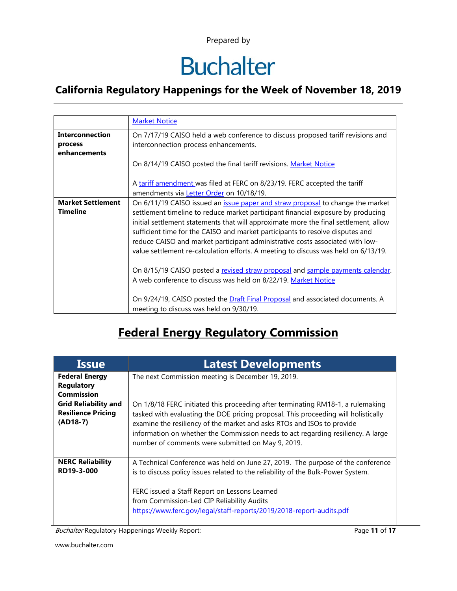### **Buchalter**

#### **California Regulatory Happenings for the Week of November 18, 2019**

|                          | <b>Market Notice</b>                                                                                                     |  |  |  |  |  |  |
|--------------------------|--------------------------------------------------------------------------------------------------------------------------|--|--|--|--|--|--|
| <b>Interconnection</b>   | On 7/17/19 CAISO held a web conference to discuss proposed tariff revisions and                                          |  |  |  |  |  |  |
| process                  | interconnection process enhancements.                                                                                    |  |  |  |  |  |  |
| enhancements             |                                                                                                                          |  |  |  |  |  |  |
|                          | On 8/14/19 CAISO posted the final tariff revisions. Market Notice                                                        |  |  |  |  |  |  |
|                          | A tariff amendment was filed at FERC on 8/23/19. FERC accepted the tariff                                                |  |  |  |  |  |  |
|                          | amendments via Letter Order on 10/18/19.                                                                                 |  |  |  |  |  |  |
| <b>Market Settlement</b> | On 6/11/19 CAISO issued an <i>issue paper and straw proposal</i> to change the market                                    |  |  |  |  |  |  |
| <b>Timeline</b>          | settlement timeline to reduce market participant financial exposure by producing                                         |  |  |  |  |  |  |
|                          | initial settlement statements that will approximate more the final settlement, allow                                     |  |  |  |  |  |  |
|                          | sufficient time for the CAISO and market participants to resolve disputes and                                            |  |  |  |  |  |  |
|                          | reduce CAISO and market participant administrative costs associated with low-                                            |  |  |  |  |  |  |
|                          | value settlement re-calculation efforts. A meeting to discuss was held on 6/13/19.                                       |  |  |  |  |  |  |
|                          | On 8/15/19 CAISO posted a revised straw proposal and sample payments calendar.                                           |  |  |  |  |  |  |
|                          | A web conference to discuss was held on 8/22/19. Market Notice                                                           |  |  |  |  |  |  |
|                          | On 9/24/19, CAISO posted the Draft Final Proposal and associated documents. A<br>meeting to discuss was held on 9/30/19. |  |  |  |  |  |  |

### **Federal Energy Regulatory Commission**

| <b>Issue</b>                                                           | <b>Latest Developments</b>                                                                                                                                                                                                                                                                                                                                                               |  |  |  |  |  |
|------------------------------------------------------------------------|------------------------------------------------------------------------------------------------------------------------------------------------------------------------------------------------------------------------------------------------------------------------------------------------------------------------------------------------------------------------------------------|--|--|--|--|--|
| <b>Federal Energy</b><br><b>Regulatory</b>                             | The next Commission meeting is December 19, 2019.                                                                                                                                                                                                                                                                                                                                        |  |  |  |  |  |
| <b>Commission</b>                                                      |                                                                                                                                                                                                                                                                                                                                                                                          |  |  |  |  |  |
| <b>Grid Reliability and</b><br><b>Resilience Pricing</b><br>$(AD18-7)$ | On 1/8/18 FERC initiated this proceeding after terminating RM18-1, a rulemaking<br>tasked with evaluating the DOE pricing proposal. This proceeding will holistically<br>examine the resiliency of the market and asks RTOs and ISOs to provide<br>information on whether the Commission needs to act regarding resiliency. A large<br>number of comments were submitted on May 9, 2019. |  |  |  |  |  |
| <b>NERC Reliability</b><br>RD19-3-000                                  | A Technical Conference was held on June 27, 2019. The purpose of the conference<br>is to discuss policy issues related to the reliability of the Bulk-Power System.<br>FERC issued a Staff Report on Lessons Learned<br>from Commission-Led CIP Reliability Audits<br>https://www.ferc.gov/legal/staff-reports/2019/2018-report-audits.pdf                                               |  |  |  |  |  |

Buchalter Regulatory Happenings Weekly Report: Page **11** of **17**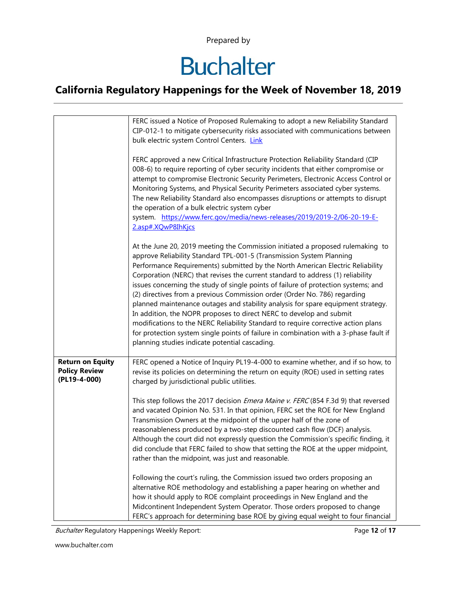## **Buchalter**

#### **California Regulatory Happenings for the Week of November 18, 2019**

|                                                                 | FERC issued a Notice of Proposed Rulemaking to adopt a new Reliability Standard<br>CIP-012-1 to mitigate cybersecurity risks associated with communications between<br>bulk electric system Control Centers. Link                                                                                                                                                                                                                                                                                                                                                                                                                                                                                                                                                                                                                                                                         |  |  |  |  |  |
|-----------------------------------------------------------------|-------------------------------------------------------------------------------------------------------------------------------------------------------------------------------------------------------------------------------------------------------------------------------------------------------------------------------------------------------------------------------------------------------------------------------------------------------------------------------------------------------------------------------------------------------------------------------------------------------------------------------------------------------------------------------------------------------------------------------------------------------------------------------------------------------------------------------------------------------------------------------------------|--|--|--|--|--|
|                                                                 | FERC approved a new Critical Infrastructure Protection Reliability Standard (CIP<br>008-6) to require reporting of cyber security incidents that either compromise or<br>attempt to compromise Electronic Security Perimeters, Electronic Access Control or<br>Monitoring Systems, and Physical Security Perimeters associated cyber systems.<br>The new Reliability Standard also encompasses disruptions or attempts to disrupt<br>the operation of a bulk electric system cyber<br>system. https://www.ferc.gov/media/news-releases/2019/2019-2/06-20-19-E-<br>2.asp#.XQwP8IhKjcs                                                                                                                                                                                                                                                                                                      |  |  |  |  |  |
|                                                                 | At the June 20, 2019 meeting the Commission initiated a proposed rulemaking to<br>approve Reliability Standard TPL-001-5 (Transmission System Planning<br>Performance Requirements) submitted by the North American Electric Reliability<br>Corporation (NERC) that revises the current standard to address (1) reliability<br>issues concerning the study of single points of failure of protection systems; and<br>(2) directives from a previous Commission order (Order No. 786) regarding<br>planned maintenance outages and stability analysis for spare equipment strategy.<br>In addition, the NOPR proposes to direct NERC to develop and submit<br>modifications to the NERC Reliability Standard to require corrective action plans<br>for protection system single points of failure in combination with a 3-phase fault if<br>planning studies indicate potential cascading. |  |  |  |  |  |
| <b>Return on Equity</b><br><b>Policy Review</b><br>(PL19-4-000) | FERC opened a Notice of Inquiry PL19-4-000 to examine whether, and if so how, to<br>revise its policies on determining the return on equity (ROE) used in setting rates<br>charged by jurisdictional public utilities.                                                                                                                                                                                                                                                                                                                                                                                                                                                                                                                                                                                                                                                                    |  |  |  |  |  |
|                                                                 | This step follows the 2017 decision <i>Emera Maine v. FERC</i> (854 F.3d 9) that reversed<br>and vacated Opinion No. 531. In that opinion, FERC set the ROE for New England<br>Transmission Owners at the midpoint of the upper half of the zone of<br>reasonableness produced by a two-step discounted cash flow (DCF) analysis.<br>Although the court did not expressly question the Commission's specific finding, it<br>did conclude that FERC failed to show that setting the ROE at the upper midpoint,<br>rather than the midpoint, was just and reasonable.                                                                                                                                                                                                                                                                                                                       |  |  |  |  |  |
|                                                                 | Following the court's ruling, the Commission issued two orders proposing an<br>alternative ROE methodology and establishing a paper hearing on whether and<br>how it should apply to ROE complaint proceedings in New England and the<br>Midcontinent Independent System Operator. Those orders proposed to change<br>FERC's approach for determining base ROE by giving equal weight to four financial                                                                                                                                                                                                                                                                                                                                                                                                                                                                                   |  |  |  |  |  |

Buchalter Regulatory Happenings Weekly Report: Page **12** of **17**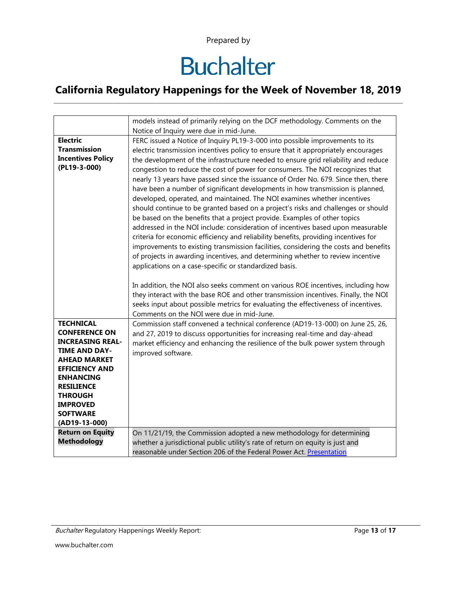## **Buchalter**

|                                       | models instead of primarily relying on the DCF methodology. Comments on the          |  |  |  |  |  |  |
|---------------------------------------|--------------------------------------------------------------------------------------|--|--|--|--|--|--|
|                                       | Notice of Inquiry were due in mid-June.                                              |  |  |  |  |  |  |
| <b>Electric</b>                       | FERC issued a Notice of Inquiry PL19-3-000 into possible improvements to its         |  |  |  |  |  |  |
| <b>Transmission</b>                   | electric transmission incentives policy to ensure that it appropriately encourages   |  |  |  |  |  |  |
| <b>Incentives Policy</b>              | the development of the infrastructure needed to ensure grid reliability and reduce   |  |  |  |  |  |  |
| (PL19-3-000)                          | congestion to reduce the cost of power for consumers. The NOI recognizes that        |  |  |  |  |  |  |
|                                       | nearly 13 years have passed since the issuance of Order No. 679. Since then, there   |  |  |  |  |  |  |
|                                       | have been a number of significant developments in how transmission is planned,       |  |  |  |  |  |  |
|                                       | developed, operated, and maintained. The NOI examines whether incentives             |  |  |  |  |  |  |
|                                       | should continue to be granted based on a project's risks and challenges or should    |  |  |  |  |  |  |
|                                       | be based on the benefits that a project provide. Examples of other topics            |  |  |  |  |  |  |
|                                       | addressed in the NOI include: consideration of incentives based upon measurable      |  |  |  |  |  |  |
|                                       | criteria for economic efficiency and reliability benefits, providing incentives for  |  |  |  |  |  |  |
|                                       | improvements to existing transmission facilities, considering the costs and benefits |  |  |  |  |  |  |
|                                       |                                                                                      |  |  |  |  |  |  |
|                                       | of projects in awarding incentives, and determining whether to review incentive      |  |  |  |  |  |  |
|                                       | applications on a case-specific or standardized basis.                               |  |  |  |  |  |  |
|                                       |                                                                                      |  |  |  |  |  |  |
|                                       | In addition, the NOI also seeks comment on various ROE incentives, including how     |  |  |  |  |  |  |
|                                       | they interact with the base ROE and other transmission incentives. Finally, the NOI  |  |  |  |  |  |  |
|                                       | seeks input about possible metrics for evaluating the effectiveness of incentives.   |  |  |  |  |  |  |
|                                       | Comments on the NOI were due in mid-June.                                            |  |  |  |  |  |  |
| <b>TECHNICAL</b>                      | Commission staff convened a technical conference (AD19-13-000) on June 25, 26,       |  |  |  |  |  |  |
| <b>CONFERENCE ON</b>                  | and 27, 2019 to discuss opportunities for increasing real-time and day-ahead         |  |  |  |  |  |  |
| <b>INCREASING REAL-</b>               | market efficiency and enhancing the resilience of the bulk power system through      |  |  |  |  |  |  |
| TIME AND DAY-                         | improved software.                                                                   |  |  |  |  |  |  |
| <b>AHEAD MARKET</b>                   |                                                                                      |  |  |  |  |  |  |
| <b>EFFICIENCY AND</b>                 |                                                                                      |  |  |  |  |  |  |
| <b>ENHANCING</b><br><b>RESILIENCE</b> |                                                                                      |  |  |  |  |  |  |
|                                       |                                                                                      |  |  |  |  |  |  |
| <b>THROUGH</b><br><b>IMPROVED</b>     |                                                                                      |  |  |  |  |  |  |
| <b>SOFTWARE</b>                       |                                                                                      |  |  |  |  |  |  |
| (AD19-13-000)                         |                                                                                      |  |  |  |  |  |  |
| <b>Return on Equity</b>               |                                                                                      |  |  |  |  |  |  |
|                                       | On 11/21/19, the Commission adopted a new methodology for determining                |  |  |  |  |  |  |
| <b>Methodology</b>                    | whether a jurisdictional public utility's rate of return on equity is just and       |  |  |  |  |  |  |
|                                       | reasonable under Section 206 of the Federal Power Act. Presentation                  |  |  |  |  |  |  |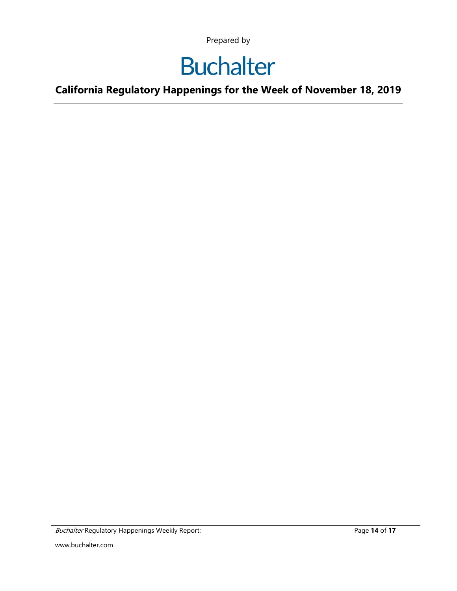### **Buchalter**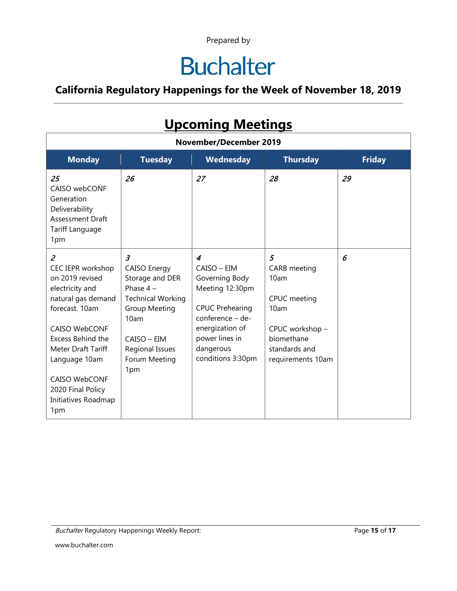# **Buchalter**

### **California Regulatory Happenings for the Week of November 18, 2019**

| <b>UPCOMING MEETINGS</b>                                                                                                                                                                                                                                                         |                                                                                                                                                                                              |                                                                                                                                                                            |                                                                                                                                 |               |  |  |  |  |
|----------------------------------------------------------------------------------------------------------------------------------------------------------------------------------------------------------------------------------------------------------------------------------|----------------------------------------------------------------------------------------------------------------------------------------------------------------------------------------------|----------------------------------------------------------------------------------------------------------------------------------------------------------------------------|---------------------------------------------------------------------------------------------------------------------------------|---------------|--|--|--|--|
| <b>November/December 2019</b>                                                                                                                                                                                                                                                    |                                                                                                                                                                                              |                                                                                                                                                                            |                                                                                                                                 |               |  |  |  |  |
| <b>Monday</b>                                                                                                                                                                                                                                                                    | <b>Tuesday</b>                                                                                                                                                                               | Wednesday                                                                                                                                                                  | <b>Thursday</b>                                                                                                                 | <b>Friday</b> |  |  |  |  |
| 25<br>CAISO webCONF<br>Generation<br>Deliverability<br><b>Assessment Draft</b><br>Tariff Language<br>1pm                                                                                                                                                                         | 26                                                                                                                                                                                           | 27                                                                                                                                                                         | 28                                                                                                                              | 29            |  |  |  |  |
| $\overline{2}$<br>CEC IEPR workshop<br>on 2019 revised<br>electricity and<br>natural gas demand<br>forecast. 10am<br><b>CAISO WebCONF</b><br>Excess Behind the<br>Meter Draft Tariff<br>Language 10am<br><b>CAISO WebCONF</b><br>2020 Final Policy<br>Initiatives Roadmap<br>1pm | $\mathfrak{Z}$<br><b>CAISO Energy</b><br>Storage and DER<br>Phase $4-$<br><b>Technical Working</b><br><b>Group Meeting</b><br>10am<br>CAISO - EIM<br>Regional Issues<br>Forum Meeting<br>1pm | 4<br>CAISO - EIM<br>Governing Body<br>Meeting 12:30pm<br><b>CPUC Prehearing</b><br>conference - de-<br>energization of<br>power lines in<br>dangerous<br>conditions 3:30pm | 5<br><b>CARB</b> meeting<br>10am<br>CPUC meeting<br>10am<br>CPUC workshop -<br>biomethane<br>standards and<br>requirements 10am | 6             |  |  |  |  |

### **Upcoming Meetings**

Buchalter Regulatory Happenings Weekly Report: Page **15** of **17**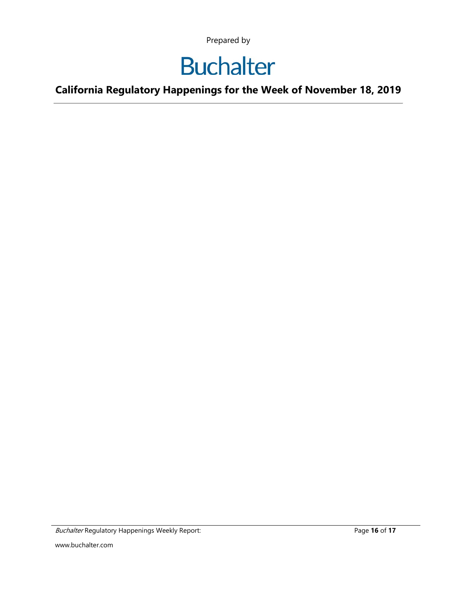### **Buchalter**